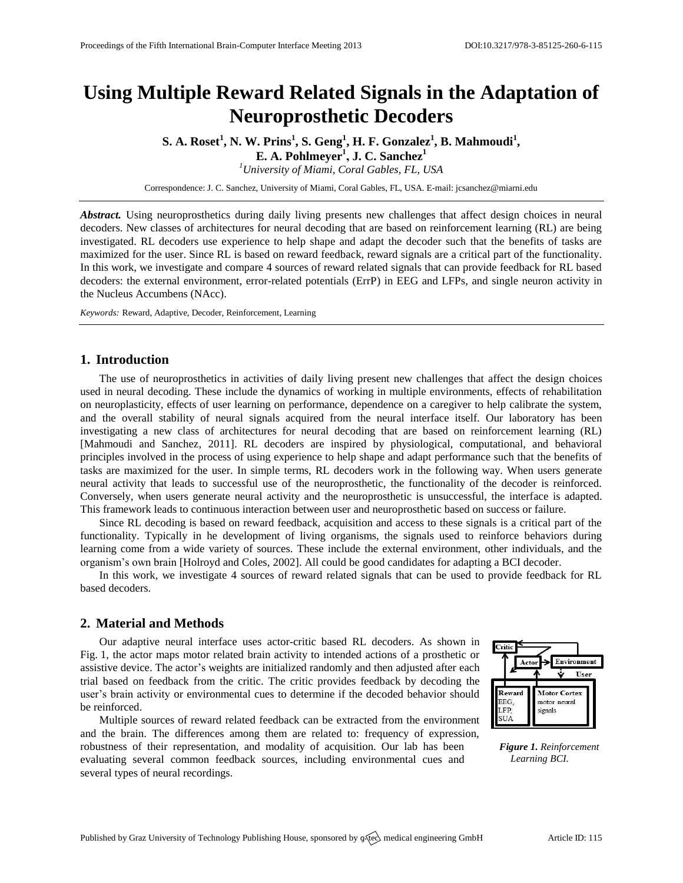# **Using Multiple Reward Related Signals in the Adaptation of Neuroprosthetic Decoders**

**S. A. Roset<sup>1</sup> , N. W. Prins<sup>1</sup> , S. Geng<sup>1</sup> , H. F. Gonzalez<sup>1</sup> , B. Mahmoudi<sup>1</sup> ,**

**E. A. Pohlmeyer<sup>1</sup> , J. C. Sanchez<sup>1</sup>**

*<sup>1</sup>University of Miami, Coral Gables, FL, USA*

Correspondence: J. C. Sanchez, University of Miami, Coral Gables, FL, USA. E-mail[: jcsanchez@miarni.edu](mailto:jcsanchez@miarni.edu)

*Abstract.* Using neuroprosthetics during daily living presents new challenges that affect design choices in neural decoders. New classes of architectures for neural decoding that are based on reinforcement learning (RL) are being investigated. RL decoders use experience to help shape and adapt the decoder such that the benefits of tasks are maximized for the user. Since RL is based on reward feedback, reward signals are a critical part of the functionality. In this work, we investigate and compare 4 sources of reward related signals that can provide feedback for RL based decoders: the external environment, error-related potentials (ErrP) in EEG and LFPs, and single neuron activity in the Nucleus Accumbens (NAcc).

*Keywords:* Reward, Adaptive, Decoder, Reinforcement, Learning

## **1. Introduction**

The use of neuroprosthetics in activities of daily living present new challenges that affect the design choices used in neural decoding. These include the dynamics of working in multiple environments, effects of rehabilitation on neuroplasticity, effects of user learning on performance, dependence on a caregiver to help calibrate the system, and the overall stability of neural signals acquired from the neural interface itself. Our laboratory has been investigating a new class of architectures for neural decoding that are based on reinforcement learning (RL) [\[Mahmoudi and Sanchez,](#page-1-0) 2011]. RL decoders are inspired by physiological, computational, and behavioral principles involved in the process of using experience to help shape and adapt performance such that the benefits of tasks are maximized for the user. In simple terms, RL decoders work in the following way. When users generate neural activity that leads to successful use of the neuroprosthetic, the functionality of the decoder is reinforced. Conversely, when users generate neural activity and the neuroprosthetic is unsuccessful, the interface is adapted. This framework leads to continuous interaction between user and neuroprosthetic based on success or failure.

Since RL decoding is based on reward feedback, acquisition and access to these signals is a critical part of the functionality. Typically in he development of living organisms, the signals used to reinforce behaviors during learning come from a wide variety of sources. These include the external environment, other individuals, and the organism's own brain [\[Holroyd and Coles,](#page-1-1) 2002]. All could be good candidates for adapting a BCI decoder.

In this work, we investigate 4 sources of reward related signals that can be used to provide feedback for RL based decoders.

### **2. Material and Methods**

Our adaptive neural interface uses actor-critic based RL decoders. As shown in Fig. 1, the actor maps motor related brain activity to intended actions of a prosthetic or assistive device. The actor's weights are initialized randomly and then adjusted after each trial based on feedback from the critic. The critic provides feedback by decoding the user's brain activity or environmental cues to determine if the decoded behavior should be reinforced.

Multiple sources of reward related feedback can be extracted from the environment and the brain. The differences among them are related to: frequency of expression, robustness of their representation, and modality of acquisition. Our lab has been evaluating several common feedback sources, including environmental cues and several types of neural recordings.



*Figure 1. Reinforcement Learning BCI.*